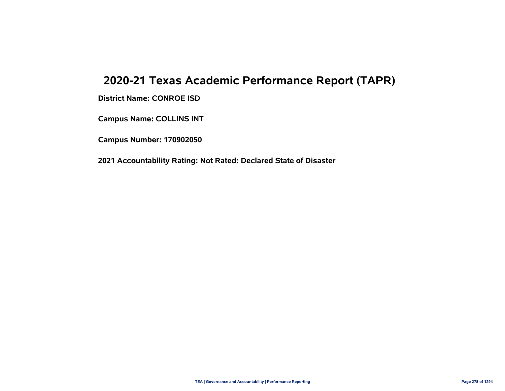# **2020-21 Texas Academic Performance Report (TAPR)**

**District Name: CONROE ISD**

**Campus Name: COLLINS INT**

**Campus Number: 170902050**

**2021 Accountability Rating: Not Rated: Declared State of Disaster**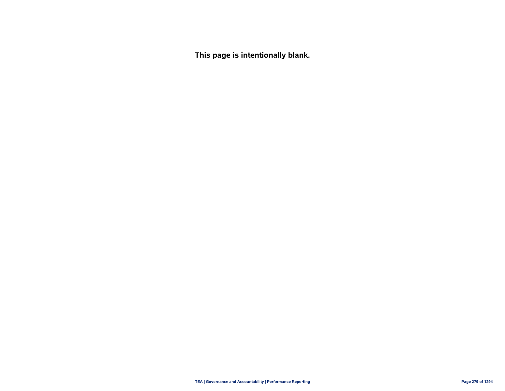**This page is intentionally blank.**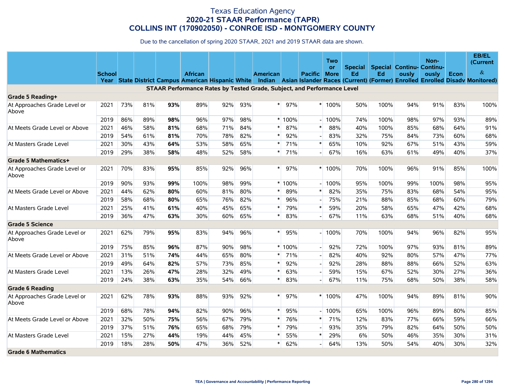# Texas Education Agency **2020-21 STAAR Performance (TAPR) COLLINS INT (170902050) - CONROE ISD - MONTGOMERY COUNTY**

Due to the cancellation of spring 2020 STAAR, 2021 and 2019 STAAR data are shown.

|                                       |               |     |     |     |                                                                         |     |     |                 |          |                          | Two                      |                      |                                        |       | Non-  |      | EB/EL<br>(Current                                                                                                                     |
|---------------------------------------|---------------|-----|-----|-----|-------------------------------------------------------------------------|-----|-----|-----------------|----------|--------------------------|--------------------------|----------------------|----------------------------------------|-------|-------|------|---------------------------------------------------------------------------------------------------------------------------------------|
|                                       | <b>School</b> |     |     |     | <b>African</b>                                                          |     |     | <b>American</b> |          | <b>Pacific</b>           | <b>or</b><br><b>More</b> | <b>Special</b><br>Ed | <b>Special Continu- Continu-</b><br>Ed | ously | ously | Econ | $\&$                                                                                                                                  |
|                                       |               |     |     |     |                                                                         |     |     |                 |          |                          |                          |                      |                                        |       |       |      | Year State District Campus American Hispanic White Indian Asian Islander Races (Current) (Former) Enrolled Enrolled Disadv Monitored) |
|                                       |               |     |     |     | STAAR Performance Rates by Tested Grade, Subject, and Performance Level |     |     |                 |          |                          |                          |                      |                                        |       |       |      |                                                                                                                                       |
| Grade 5 Reading+                      |               |     |     |     |                                                                         |     |     |                 |          |                          |                          |                      |                                        |       |       |      |                                                                                                                                       |
| At Approaches Grade Level or<br>Above | 2021          | 73% | 81% | 93% | 89%                                                                     | 92% | 93% | $\ast$          | 97%      |                          | * 100%                   | 50%                  | 100%                                   | 94%   | 91%   | 83%  | 100%                                                                                                                                  |
|                                       | 2019          | 86% | 89% | 98% | 96%                                                                     | 97% | 98% |                 | $*100\%$ | ٠                        | 100%                     | 74%                  | 100%                                   | 98%   | 97%   | 93%  | 89%                                                                                                                                   |
| At Meets Grade Level or Above         | 2021          | 46% | 58% | 81% | 68%                                                                     | 71% | 84% | $\ast$          | 87%      | $\ast$                   | 88%                      | 40%                  | 100%                                   | 85%   | 68%   | 64%  | 91%                                                                                                                                   |
|                                       | 2019          | 54% | 61% | 81% | 70%                                                                     | 78% | 82% | *               | 92%      | $\overline{a}$           | 83%                      | 32%                  | 75%                                    | 84%   | 73%   | 60%  | 68%                                                                                                                                   |
| At Masters Grade Level                | 2021          | 30% | 43% | 64% | 53%                                                                     | 58% | 65% | *               | 71%      | $\ast$                   | 65%                      | 10%                  | 92%                                    | 67%   | 51%   | 43%  | 59%                                                                                                                                   |
|                                       | 2019          | 29% | 38% | 58% | 48%                                                                     | 52% | 58% | $\ast$          | 71%      |                          | 67%                      | 16%                  | 63%                                    | 61%   | 49%   | 40%  | 37%                                                                                                                                   |
| <b>Grade 5 Mathematics+</b>           |               |     |     |     |                                                                         |     |     |                 |          |                          |                          |                      |                                        |       |       |      |                                                                                                                                       |
| At Approaches Grade Level or<br>Above | 2021          | 70% | 83% | 95% | 85%                                                                     | 92% | 96% | $\ast$          | 97%      | $\ast$                   | 100%                     | 70%                  | 100%                                   | 96%   | 91%   | 85%  | 100%                                                                                                                                  |
|                                       | 2019          | 90% | 93% | 99% | 100%                                                                    | 98% | 99% |                 | * 100%   |                          | 100%                     | 95%                  | 100%                                   | 99%   | 100%  | 98%  | 95%                                                                                                                                   |
| At Meets Grade Level or Above         | 2021          | 44% | 62% | 80% | 60%                                                                     | 81% | 80% | $\ast$          | 89%      | $\ast$                   | 82%                      | 35%                  | 75%                                    | 83%   | 68%   | 54%  | 95%                                                                                                                                   |
|                                       | 2019          | 58% | 68% | 80% | 65%                                                                     | 76% | 82% | $\ast$          | 96%      |                          | 75%                      | 21%                  | 88%                                    | 85%   | 68%   | 60%  | 79%                                                                                                                                   |
| At Masters Grade Level                | 2021          | 25% | 41% | 61% | 40%                                                                     | 45% | 65% | $\ast$          | 79%      | $\ast$                   | 59%                      | 20%                  | 58%                                    | 65%   | 47%   | 42%  | 68%                                                                                                                                   |
|                                       | 2019          | 36% | 47% | 63% | 30%                                                                     | 60% | 65% | ∗               | 83%      |                          | 67%                      | 11%                  | 63%                                    | 68%   | 51%   | 40%  | 68%                                                                                                                                   |
| <b>Grade 5 Science</b>                |               |     |     |     |                                                                         |     |     |                 |          |                          |                          |                      |                                        |       |       |      |                                                                                                                                       |
| At Approaches Grade Level or<br>Above | 2021          | 62% | 79% | 95% | 83%                                                                     | 94% | 96% | $\ast$          | 95%      |                          | $-100%$                  | 70%                  | 100%                                   | 94%   | 96%   | 82%  | 95%                                                                                                                                   |
|                                       | 2019          | 75% | 85% | 96% | 87%                                                                     | 90% | 98% |                 | $*100%$  |                          | 92%                      | 72%                  | 100%                                   | 97%   | 93%   | 81%  | 89%                                                                                                                                   |
| At Meets Grade Level or Above         | 2021          | 31% | 51% | 74% | 44%                                                                     | 65% | 80% |                 | 71%      | $\overline{\phantom{a}}$ | 82%                      | 40%                  | 92%                                    | 80%   | 57%   | 47%  | 77%                                                                                                                                   |
|                                       | 2019          | 49% | 64% | 82% | 57%                                                                     | 73% | 85% |                 | 92%      | $\overline{\phantom{a}}$ | 92%                      | 28%                  | 88%                                    | 88%   | 66%   | 52%  | 63%                                                                                                                                   |
| At Masters Grade Level                | 2021          | 13% | 26% | 47% | 28%                                                                     | 32% | 49% |                 | 63%      |                          | 59%                      | 15%                  | 67%                                    | 52%   | 30%   | 27%  | 36%                                                                                                                                   |
|                                       | 2019          | 24% | 38% | 63% | 35%                                                                     | 54% | 66% | ∗               | 83%      | $\overline{\phantom{0}}$ | 67%                      | 11%                  | 75%                                    | 68%   | 50%   | 38%  | 58%                                                                                                                                   |
| <b>Grade 6 Reading</b>                |               |     |     |     |                                                                         |     |     |                 |          |                          |                          |                      |                                        |       |       |      |                                                                                                                                       |
| At Approaches Grade Level or<br>Above | 2021          | 62% | 78% | 93% | 88%                                                                     | 93% | 92% | $\ast$          | 97%      | $\ast$                   | 100%                     | 47%                  | 100%                                   | 94%   | 89%   | 81%  | 90%                                                                                                                                   |
|                                       | 2019          | 68% | 78% | 94% | 82%                                                                     | 90% | 96% | $\ast$          | 95%      |                          | 100%                     | 65%                  | 100%                                   | 96%   | 89%   | 80%  | 85%                                                                                                                                   |
| At Meets Grade Level or Above         | 2021          | 32% | 50% | 75% | 56%                                                                     | 67% | 79% | *               | 76%      | $\ast$                   | 71%                      | 12%                  | 83%                                    | 77%   | 66%   | 59%  | 66%                                                                                                                                   |
|                                       | 2019          | 37% | 51% | 76% | 65%                                                                     | 68% | 79% | $\ast$          | 79%      |                          | 93%                      | 35%                  | 79%                                    | 82%   | 64%   | 50%  | 50%                                                                                                                                   |
| At Masters Grade Level                | 2021          | 15% | 27% | 44% | 19%                                                                     | 44% | 45% | *               | 55%      | $\ast$                   | 29%                      | 6%                   | 50%                                    | 46%   | 35%   | 30%  | 31%                                                                                                                                   |
|                                       | 2019          | 18% | 28% | 50% | 47%                                                                     | 36% | 52% |                 | 62%      |                          | 64%                      | 13%                  | 50%                                    | 54%   | 40%   | 30%  | 32%                                                                                                                                   |
| <b>Grade 6 Mathematics</b>            |               |     |     |     |                                                                         |     |     |                 |          |                          |                          |                      |                                        |       |       |      |                                                                                                                                       |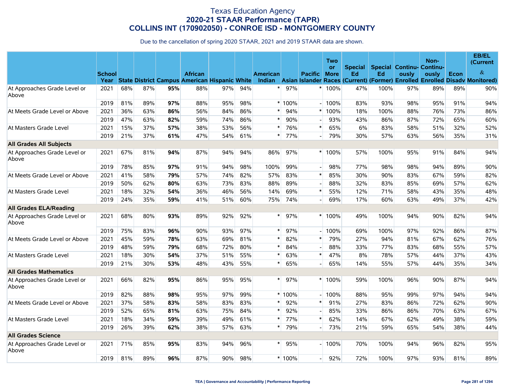# Texas Education Agency **2020-21 STAAR Performance (TAPR) COLLINS INT (170902050) - CONROE ISD - MONTGOMERY COUNTY**

Due to the cancellation of spring 2020 STAAR, 2021 and 2019 STAAR data are shown.

|                                       |               |     |     |     |                |     |     |                 |         |                | Two               |                 |      |                                           | Non-  |      | EB/EL<br>(Current                                                                                                                |
|---------------------------------------|---------------|-----|-----|-----|----------------|-----|-----|-----------------|---------|----------------|-------------------|-----------------|------|-------------------------------------------|-------|------|----------------------------------------------------------------------------------------------------------------------------------|
|                                       | <b>School</b> |     |     |     | <b>African</b> |     |     | <b>American</b> |         | <b>Pacific</b> | or<br><b>More</b> | Special  <br>Ed | Ed   | <b>Special Continu- Continu-</b><br>ously | ously | Econ | $\&$                                                                                                                             |
|                                       | Year          |     |     |     |                |     |     |                 |         |                |                   |                 |      |                                           |       |      | State District Campus American Hispanic White Indian Asian Islander Races (Current) (Former) Enrolled Enrolled Disadv Monitored) |
| At Approaches Grade Level or<br>Above | 2021          | 68% | 87% | 95% | 88%            | 97% | 94% | $\ast$          | 97%     |                | $*100\%$          | 47%             | 100% | 97%                                       | 89%   | 89%  | 90%                                                                                                                              |
|                                       | 2019          | 81% | 89% | 97% | 88%            | 95% | 98% |                 | $*100%$ |                | 100%              | 83%             | 93%  | 98%                                       | 95%   | 91%  | 94%                                                                                                                              |
| At Meets Grade Level or Above         | 2021          | 36% | 63% | 86% | 56%            | 84% | 86% |                 | 94%     | *              | 100%              | 18%             | 100% | 88%                                       | 76%   | 73%  | 86%                                                                                                                              |
|                                       | 2019          | 47% | 63% | 82% | 59%            | 74% | 86% |                 | 90%     |                | 93%               | 43%             | 86%  | 87%                                       | 72%   | 65%  | 60%                                                                                                                              |
| At Masters Grade Level                | 2021          | 15% | 37% | 57% | 38%            | 53% | 56% |                 | 76%     | $\ast$         | 65%               | 6%              | 83%  | 58%                                       | 51%   | 32%  | 52%                                                                                                                              |
|                                       | 2019          | 21% | 37% | 61% | 47%            | 54% | 61% | $\ast$          | 77%     |                | 79%               | 30%             | 57%  | 63%                                       | 56%   | 35%  | 31%                                                                                                                              |
| <b>All Grades All Subjects</b>        |               |     |     |     |                |     |     |                 |         |                |                   |                 |      |                                           |       |      |                                                                                                                                  |
| At Approaches Grade Level or<br>Above | 2021          | 67% | 81% | 94% | 87%            | 94% | 94% | 86%             | 97%     |                | $*100\%$          | 57%             | 100% | 95%                                       | 91%   | 84%  | 94%                                                                                                                              |
|                                       | 2019          | 78% | 85% | 97% | 91%            | 94% | 98% | 100%            | 99%     |                | 98%               | 77%             | 98%  | 98%                                       | 94%   | 89%  | 90%                                                                                                                              |
| At Meets Grade Level or Above         | 2021          | 41% | 58% | 79% | 57%            | 74% | 82% | 57%             | 83%     | $\ast$         | 85%               | 30%             | 90%  | 83%                                       | 67%   | 59%  | 82%                                                                                                                              |
|                                       | 2019          | 50% | 62% | 80% | 63%            | 73% | 83% | 88%             | 89%     |                | 88%               | 32%             | 83%  | 85%                                       | 69%   | 57%  | 62%                                                                                                                              |
| At Masters Grade Level                | 2021          | 18% | 32% | 54% | 36%            | 46% | 56% | 14%             | 69%     | $\ast$         | 55%               | 12%             | 71%  | 58%                                       | 43%   | 35%  | 48%                                                                                                                              |
|                                       | 2019          | 24% | 35% | 59% | 41%            | 51% | 60% | 75%             | 74%     |                | 69%               | 17%             | 60%  | 63%                                       | 49%   | 37%  | 42%                                                                                                                              |
| <b>All Grades ELA/Reading</b>         |               |     |     |     |                |     |     |                 |         |                |                   |                 |      |                                           |       |      |                                                                                                                                  |
| At Approaches Grade Level or<br>Above | 2021          | 68% | 80% | 93% | 89%            | 92% | 92% | $\ast$          | 97%     |                | $*$ 100%          | 49%             | 100% | 94%                                       | 90%   | 82%  | 94%                                                                                                                              |
|                                       | 2019          | 75% | 83% | 96% | 90%            | 93% | 97% | $\ast$          | 97%     |                | 100%              | 69%             | 100% | 97%                                       | 92%   | 86%  | 87%                                                                                                                              |
| At Meets Grade Level or Above         | 2021          | 45% | 59% | 78% | 63%            | 69% | 81% | $\ast$          | 82%     | $\ast$         | 79%               | 27%             | 94%  | 81%                                       | 67%   | 62%  | 76%                                                                                                                              |
|                                       | 2019          | 48% | 59% | 79% | 68%            | 72% | 80% | $\ast$          | 84%     |                | 88%               | 33%             | 77%  | 83%                                       | 68%   | 55%  | 57%                                                                                                                              |
| At Masters Grade Level                | 2021          | 18% | 30% | 54% | 37%            | 51% | 55% | $\ast$          | 63%     | $\ast$         | 47%               | 8%              | 78%  | 57%                                       | 44%   | 37%  | 43%                                                                                                                              |
|                                       | 2019          | 21% | 30% | 53% | 48%            | 43% | 55% | $\ast$          | 65%     |                | 65%               | 14%             | 55%  | 57%                                       | 44%   | 35%  | 34%                                                                                                                              |
| <b>All Grades Mathematics</b>         |               |     |     |     |                |     |     |                 |         |                |                   |                 |      |                                           |       |      |                                                                                                                                  |
| At Approaches Grade Level or<br>Above | 2021          | 66% | 82% | 95% | 86%            | 95% | 95% | $\ast$          | 97%     |                | $*100\%$          | 59%             | 100% | 96%                                       | 90%   | 87%  | 94%                                                                                                                              |
|                                       | 2019          | 82% | 88% | 98% | 95%            | 97% | 99% |                 | * 100%  |                | 100%              | 88%             | 95%  | 99%                                       | 97%   | 94%  | 94%                                                                                                                              |
| At Meets Grade Level or Above         | 2021          | 37% | 58% | 83% | 58%            | 83% | 83% |                 | 92%     | $\ast$         | 91%               | 27%             | 83%  | 86%                                       | 72%   | 62%  | 90%                                                                                                                              |
|                                       | 2019          | 52% | 65% | 81% | 63%            | 75% | 84% |                 | 92%     |                | 85%               | 33%             | 86%  | 86%                                       | 70%   | 63%  | 67%                                                                                                                              |
| At Masters Grade Level                | 2021          | 18% | 34% | 59% | 39%            | 49% | 61% |                 | 77%     | $\ast$         | 62%               | 14%             | 67%  | 62%                                       | 49%   | 38%  | 59%                                                                                                                              |
|                                       | 2019          | 26% | 39% | 62% | 38%            | 57% | 63% |                 | 79%     |                | 73%               | 21%             | 59%  | 65%                                       | 54%   | 38%  | 44%                                                                                                                              |
| <b>All Grades Science</b>             |               |     |     |     |                |     |     |                 |         |                |                   |                 |      |                                           |       |      |                                                                                                                                  |
| At Approaches Grade Level or<br>Above | 2021          | 71% | 85% | 95% | 83%            | 94% | 96% | $\ast$          | 95%     |                | $-100%$           | 70%             | 100% | 94%                                       | 96%   | 82%  | 95%                                                                                                                              |
|                                       | 2019          | 81% | 89% | 96% | 87%            | 90% | 98% |                 | * 100%  |                | 92%               | 72%             | 100% | 97%                                       | 93%   | 81%  | 89%                                                                                                                              |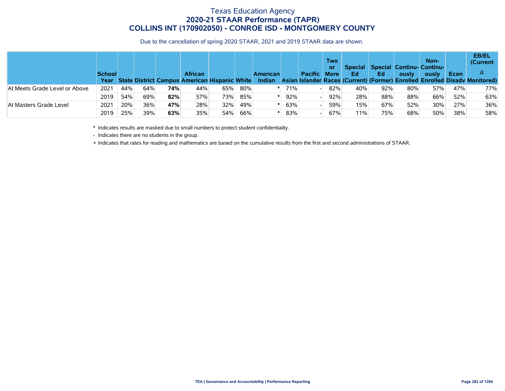## Texas Education Agency **2020-21 STAAR Performance (TAPR) COLLINS INT (170902050) - CONROE ISD - MONTGOMERY COUNTY**

Due to the cancellation of spring 2020 STAAR, 2021 and 2019 STAAR data are shown.

|                               | School<br>Year |     |     |     | <b>African</b><br><b>State District Campus American Hispanic White</b> |     |        | <b>American</b><br><b>Indian</b> |     | <b>Pacific More</b> | Two<br>or | <b>Special</b><br>Ed | Ed  | ously | Non-<br><b>Special Continu- Continu-</b><br>ously | Econ | <b>EB/EL</b><br>(Current<br>$\alpha$<br>Asian Islander Races (Current) (Former) Enrolled Enrolled Disady Monitored) |
|-------------------------------|----------------|-----|-----|-----|------------------------------------------------------------------------|-----|--------|----------------------------------|-----|---------------------|-----------|----------------------|-----|-------|---------------------------------------------------|------|---------------------------------------------------------------------------------------------------------------------|
| At Meets Grade Level or Above | 2021           | 44% | 64% | 74% | 44%                                                                    | 65% | $80\%$ |                                  | 71% |                     | 82%       | 40%                  | 92% | 80%   | 57%                                               | 47%  | 77%                                                                                                                 |
|                               | 2019           | 54% | 69% | 82% | 57%                                                                    | 73% | 85%    |                                  | 92% |                     | 92%       | 28%                  | 88% | 88%   | 66%                                               | 52%  | 63%                                                                                                                 |
| At Masters Grade Level        | 2021           | 20% | 36% | 47% | 28%                                                                    | 32% | 49%    |                                  | 63% |                     | 59%       | 15%                  | 67% | 52%   | 30%                                               | 27%  | 36%                                                                                                                 |
|                               | 2019           | 25% | 39% | 63% | 35%                                                                    | 54% | 66%    |                                  | 83% |                     | 67%       | 11%                  | 75% | 68%   | 50%                                               | 38%  | 58%                                                                                                                 |

\* Indicates results are masked due to small numbers to protect student confidentiality.

- Indicates there are no students in the group.

+ Indicates that rates for reading and mathematics are based on the cumulative results from the first and second administrations of STAAR.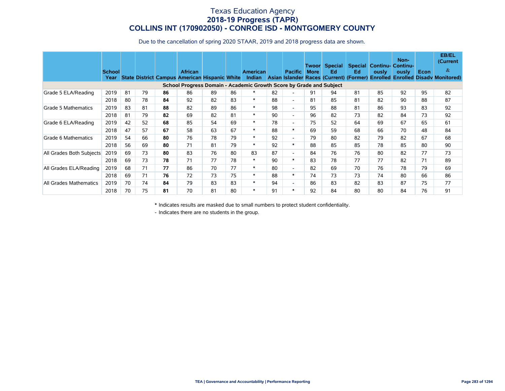#### Texas Education Agency **2018-19 Progress (TAPR) COLLINS INT (170902050) - CONROE ISD - MONTGOMERY COUNTY**

Due to the cancellation of spring 2020 STAAR, 2019 and 2018 progress data are shown.

|                          | <b>School</b><br>Year |    |    |    | <b>African</b><br><b>State District Campus American Hispanic White</b> |    |    | <b>American</b><br><b>Indian</b> |    | <b>Pacific</b>           | Twoor<br><b>More</b> | Special  <br>Ed | Ed | <b>Special Continu- Continu-</b><br>ously | Non-<br>ously | Econ | <b>EB/EL</b><br>(Current)<br>$\&$<br>Asian Islander Races (Current) (Former) Enrolled Enrolled Disady Monitored) |
|--------------------------|-----------------------|----|----|----|------------------------------------------------------------------------|----|----|----------------------------------|----|--------------------------|----------------------|-----------------|----|-------------------------------------------|---------------|------|------------------------------------------------------------------------------------------------------------------|
|                          |                       |    |    |    | School Progress Domain - Academic Growth Score by Grade and Subject    |    |    |                                  |    |                          |                      |                 |    |                                           |               |      |                                                                                                                  |
| Grade 5 ELA/Reading      | 2019                  | 81 | 79 | 86 | 86                                                                     | 89 | 86 | $\ast$                           | 82 | $\overline{\phantom{0}}$ | 91                   | 94              | 81 | 85                                        | 92            | 95   | 82                                                                                                               |
|                          | 2018                  | 80 | 78 | 84 | 92                                                                     | 82 | 83 | $\ast$                           | 88 | $\overline{\phantom{a}}$ | 81                   | 85              | 81 | 82                                        | 90            | 88   | 87                                                                                                               |
| Grade 5 Mathematics      | 2019                  | 83 | 81 | 88 | 82                                                                     | 89 | 86 | $\ast$                           | 98 | $\overline{\phantom{a}}$ | 95                   | 88              | 81 | 86                                        | 93            | 83   | 92                                                                                                               |
|                          | 2018                  | 81 | 79 | 82 | 69                                                                     | 82 | 81 | $\ast$                           | 90 | $\overline{\phantom{a}}$ | 96                   | 82              | 73 | 82                                        | 84            | 73   | 92                                                                                                               |
| Grade 6 ELA/Reading      | 2019                  | 42 | 52 | 68 | 85                                                                     | 54 | 69 | $\ast$                           | 78 | $\overline{\phantom{a}}$ | 75                   | 52              | 64 | 69                                        | 67            | 65   | 61                                                                                                               |
|                          | 2018                  | 47 | 57 | 67 | 58                                                                     | 63 | 67 | $\ast$                           | 88 | $\ast$                   | 69                   | 59              | 68 | 66                                        | 70            | 48   | 84                                                                                                               |
| Grade 6 Mathematics      | 2019                  | 54 | 66 | 80 | 76                                                                     | 78 | 79 | $\ast$                           | 92 | $\overline{\phantom{a}}$ | 79                   | 80              | 82 | 79                                        | 82            | 67   | 68                                                                                                               |
|                          | 2018                  | 56 | 69 | 80 | 71                                                                     | 81 | 79 | $\ast$                           | 92 | $\ast$                   | 88                   | 85              | 85 | 78                                        | 85            | 80   | 90                                                                                                               |
| All Grades Both Subjects | 2019                  | 69 | 73 | 80 | 83                                                                     | 76 | 80 | 83                               | 87 | $\overline{\phantom{a}}$ | 84                   | 76              | 76 | 80                                        | 82            | 77   | 73                                                                                                               |
|                          | 2018                  | 69 | 73 | 78 | 71                                                                     | 77 | 78 | $\ast$                           | 90 | $\ast$                   | 83                   | 78              | 77 | 77                                        | 82            | 71   | 89                                                                                                               |
| All Grades ELA/Reading   | 2019                  | 68 | 71 | 77 | 86                                                                     | 70 | 77 | $\ast$                           | 80 | $\overline{\phantom{a}}$ | 82                   | 69              | 70 | 76                                        | 78            | 79   | 69                                                                                                               |
|                          | 2018                  | 69 | 71 | 76 | 72                                                                     | 73 | 75 | $\ast$                           | 88 | $\ast$                   | 74                   | 73              | 73 | 74                                        | 80            | 66   | 86                                                                                                               |
| All Grades Mathematics   | 2019                  | 70 | 74 | 84 | 79                                                                     | 83 | 83 | $\ast$                           | 94 | $\overline{\phantom{a}}$ | 86                   | 83              | 82 | 83                                        | 87            | 75   | 77                                                                                                               |
|                          | 2018                  | 70 | 75 | 81 | 70                                                                     | 81 | 80 | $\ast$                           | 91 | $\ast$                   | 92                   | 84              | 80 | 80                                        | 84            | 76   | 91                                                                                                               |

\* Indicates results are masked due to small numbers to protect student confidentiality.

- Indicates there are no students in the group.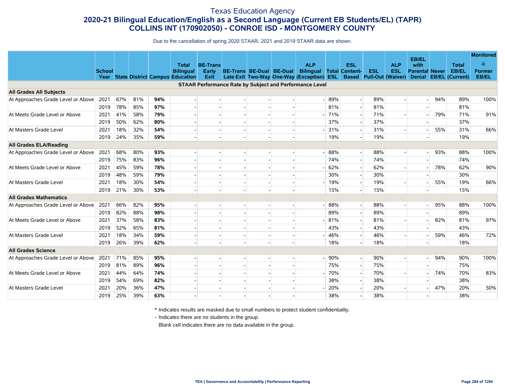# Texas Education Agency **2020-21 Bilingual Education/English as a Second Language (Current EB Students/EL) (TAPR) COLLINS INT (170902050) - CONROE ISD - MONTGOMERY COUNTY**

Due to the cancellation of spring 2020 STAAR, 2021 and 2019 STAAR data are shown.

|                                    |               |     |     |     |                                                          |                          |                          |                                 |                                                                |     |                       |                                              |            | EB/EL                 |     |                                        | <b>Monitored</b>       |
|------------------------------------|---------------|-----|-----|-----|----------------------------------------------------------|--------------------------|--------------------------|---------------------------------|----------------------------------------------------------------|-----|-----------------------|----------------------------------------------|------------|-----------------------|-----|----------------------------------------|------------------------|
|                                    |               |     |     |     | <b>Total</b>                                             | <b>BE-Trans</b>          |                          |                                 | <b>ALP</b>                                                     |     | <b>ESL</b>            |                                              | <b>ALP</b> | with                  |     | <b>Total</b>                           | $\&$                   |
|                                    | <b>School</b> |     |     |     | <b>Bilingual</b><br>Year State District Campus Education | Early<br>Exit            |                          | <b>BE-Trans BE-Dual BE-Dual</b> | <b>Bilingual</b><br>Late Exit Two-Way One-Way (Exception) ESL  |     | <b>Total Content-</b> | <b>ESL</b><br><b>Based</b> Pull-Out (Waiver) | <b>ESL</b> | <b>Parental Never</b> |     | <b>EB/EL</b><br>Denial EB/EL (Current) | <b>Former</b><br>EB/EL |
|                                    |               |     |     |     |                                                          |                          |                          |                                 | <b>STAAR Performance Rate by Subject and Performance Level</b> |     |                       |                                              |            |                       |     |                                        |                        |
| <b>All Grades All Subjects</b>     |               |     |     |     |                                                          |                          |                          |                                 |                                                                |     |                       |                                              |            |                       |     |                                        |                        |
| At Approaches Grade Level or Above | 2021          | 67% | 81% | 94% | $\frac{1}{2}$                                            |                          |                          |                                 |                                                                | 89% |                       | 89%                                          |            |                       | 94% | 89%                                    | 100%                   |
|                                    | 2019          | 78% | 85% | 97% | $\blacksquare$                                           |                          |                          |                                 |                                                                | 81% |                       | 81%                                          |            |                       |     | 81%                                    |                        |
| At Meets Grade Level or Above      | 2021          | 41% | 58% | 79% | $\overline{\phantom{m}}$                                 |                          |                          |                                 |                                                                | 71% |                       | 71%                                          |            |                       | 79% | 71%                                    | 91%                    |
|                                    | 2019          | 50% | 62% | 80% | $\overline{\phantom{a}}$                                 | $\sim$                   |                          |                                 |                                                                | 37% |                       | 37%                                          |            |                       |     | 37%                                    |                        |
| At Masters Grade Level             | 2021          | 18% | 32% | 54% |                                                          |                          |                          |                                 |                                                                | 31% |                       | 31%                                          |            |                       | 55% | 31%                                    | 66%                    |
|                                    | 2019          | 24% | 35% | 59% | $\overline{\phantom{a}}$                                 |                          |                          |                                 |                                                                | 19% |                       | 19%                                          |            |                       |     | 19%                                    |                        |
| <b>All Grades ELA/Reading</b>      |               |     |     |     |                                                          |                          |                          |                                 |                                                                |     |                       |                                              |            |                       |     |                                        |                        |
| At Approaches Grade Level or Above | 2021          | 68% | 80% | 93% |                                                          |                          |                          |                                 |                                                                | 88% |                       | 88%                                          |            |                       | 93% | 88%                                    | 100%                   |
|                                    | 2019          | 75% | 83% | 96% |                                                          |                          |                          |                                 |                                                                | 74% |                       | 74%                                          |            |                       |     | 74%                                    |                        |
| At Meets Grade Level or Above      | 2021          | 45% | 59% | 78% |                                                          |                          |                          |                                 |                                                                | 62% |                       | 62%                                          |            |                       | 78% | 62%                                    | 90%                    |
|                                    | 2019          | 48% | 59% | 79% |                                                          |                          |                          |                                 |                                                                | 30% |                       | 30%                                          |            |                       |     | 30%                                    |                        |
| At Masters Grade Level             | 2021          | 18% | 30% | 54% |                                                          |                          |                          |                                 |                                                                | 19% |                       | 19%                                          |            |                       | 55% | 19%                                    | 66%                    |
|                                    | 2019          | 21% | 30% | 53% | $\overline{\phantom{a}}$                                 | $\Box$                   |                          |                                 |                                                                | 15% |                       | 15%                                          |            |                       |     | 15%                                    |                        |
| <b>All Grades Mathematics</b>      |               |     |     |     |                                                          |                          |                          |                                 |                                                                |     |                       |                                              |            |                       |     |                                        |                        |
| At Approaches Grade Level or Above | 2021          | 66% | 82% | 95% |                                                          |                          |                          |                                 |                                                                | 88% |                       | 88%                                          |            |                       | 95% | 88%                                    | 100%                   |
|                                    | 2019          | 82% | 88% | 98% |                                                          |                          |                          |                                 |                                                                | 89% |                       | 89%                                          |            |                       |     | 89%                                    |                        |
| At Meets Grade Level or Above      | 2021          | 37% | 58% | 83% | $\overline{\phantom{a}}$                                 | $\Box$                   |                          |                                 |                                                                | 81% |                       | 81%                                          |            |                       | 82% | 81%                                    | 97%                    |
|                                    | 2019          | 52% | 65% | 81% |                                                          |                          |                          |                                 |                                                                | 43% |                       | 43%                                          |            |                       |     | 43%                                    |                        |
| At Masters Grade Level             | 2021          | 18% | 34% | 59% | $\overline{\phantom{a}}$                                 | $\overline{\phantom{a}}$ | $\overline{\phantom{a}}$ |                                 |                                                                | 46% |                       | 46%                                          |            |                       | 59% | 46%                                    | 72%                    |
|                                    | 2019          | 26% | 39% | 62% |                                                          |                          |                          |                                 |                                                                | 18% |                       | 18%                                          |            |                       |     | 18%                                    |                        |
| <b>All Grades Science</b>          |               |     |     |     |                                                          |                          |                          |                                 |                                                                |     |                       |                                              |            |                       |     |                                        |                        |
| At Approaches Grade Level or Above | 2021          | 71% | 85% | 95% |                                                          |                          |                          |                                 |                                                                | 90% |                       | 90%                                          |            |                       | 94% | 90%                                    | 100%                   |
|                                    | 2019          | 81% | 89% | 96% |                                                          |                          |                          |                                 |                                                                | 75% |                       | 75%                                          |            |                       |     | 75%                                    |                        |
| At Meets Grade Level or Above      | 2021          | 44% | 64% | 74% | $\overline{\phantom{a}}$                                 | $\overline{\phantom{a}}$ |                          |                                 |                                                                | 70% |                       | 70%                                          |            |                       | 74% | 70%                                    | 83%                    |
|                                    | 2019          | 54% | 69% | 82% |                                                          |                          |                          |                                 |                                                                | 38% |                       | 38%                                          |            |                       |     | 38%                                    |                        |
| At Masters Grade Level             | 2021          | 20% | 36% | 47% |                                                          |                          |                          |                                 |                                                                | 20% |                       | 20%                                          |            |                       | 47% | 20%                                    | 50%                    |
|                                    | 2019          | 25% | 39% | 63% |                                                          |                          |                          |                                 |                                                                | 38% |                       | 38%                                          |            |                       |     | 38%                                    |                        |

\* Indicates results are masked due to small numbers to protect student confidentiality.

- Indicates there are no students in the group.

Blank cell indicates there are no data available in the group.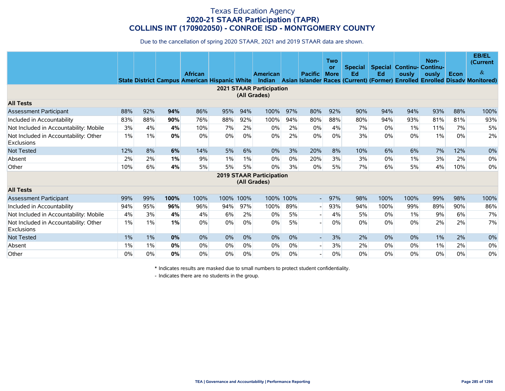# Texas Education Agency **2020-21 STAAR Participation (TAPR) COLLINS INT (170902050) - CONROE ISD - MONTGOMERY COUNTY**

Due to the cancellation of spring 2020 STAAR, 2021 and 2019 STAAR data are shown.

|                                                            |       |     |      | <b>African</b>                                       |     |           | <b>American</b>                                 |           | <b>Pacific</b>           | <b>Two</b><br>or<br><b>More</b> | <b>Special</b><br>Ed | Ed    | <b>Special Continu- Continu-</b><br>ously | Non-<br>ously | Econ | <b>EB/EL</b><br>(Current<br>$\&$                                                   |
|------------------------------------------------------------|-------|-----|------|------------------------------------------------------|-----|-----------|-------------------------------------------------|-----------|--------------------------|---------------------------------|----------------------|-------|-------------------------------------------|---------------|------|------------------------------------------------------------------------------------|
|                                                            |       |     |      | <b>State District Campus American Hispanic White</b> |     |           |                                                 |           |                          |                                 |                      |       |                                           |               |      | Indian Asian Islander Races (Current) (Former) Enrolled Enrolled Disady Monitored) |
|                                                            |       |     |      |                                                      |     |           | <b>2021 STAAR Participation</b><br>(All Grades) |           |                          |                                 |                      |       |                                           |               |      |                                                                                    |
| <b>All Tests</b>                                           |       |     |      |                                                      |     |           |                                                 |           |                          |                                 |                      |       |                                           |               |      |                                                                                    |
| Assessment Participant                                     | 88%   | 92% | 94%  | 86%                                                  | 95% | 94%       | 100%                                            | 97%       | 80%                      | 92%                             | 90%                  | 94%   | 94%                                       | 93%           | 88%  | 100%                                                                               |
| Included in Accountability                                 | 83%   | 88% | 90%  | 76%                                                  | 88% | 92%       | 100%                                            | 94%       | 80%                      | 88%                             | 80%                  | 94%   | 93%                                       | 81%           | 81%  | 93%                                                                                |
| Not Included in Accountability: Mobile                     | 3%    | 4%  | 4%   | 10%                                                  | 7%  | 2%        | 0%                                              | 2%        | 0%                       | 4%                              | 7%                   | $0\%$ | 1%                                        | 11%           | 7%   | 5%                                                                                 |
| Not Included in Accountability: Other<br><b>Exclusions</b> | 1%    | 1%  | 0%   | 0%                                                   | 0%  | 0%        | $0\%$                                           | 2%        | 0%                       | 0%                              | 3%                   | $0\%$ | 0%                                        | $1\%$         | 0%   | 2%                                                                                 |
| <b>Not Tested</b>                                          | 12%   | 8%  | 6%   | 14%                                                  | 5%  | 6%        | 0%                                              | 3%        | 20%                      | 8%                              | 10%                  | 6%    | 6%                                        | 7%            | 12%  | 0%                                                                                 |
| Absent                                                     | 2%    | 2%  | 1%   | 9%                                                   | 1%  | 1%        | 0%                                              | 0%        | 20%                      | 3%                              | 3%                   | 0%    | 1%                                        | 3%            | 2%   | 0%                                                                                 |
| Other                                                      | 10%   | 6%  | 4%   | 5%                                                   | 5%  | 5%        | 0%                                              | 3%        | $0\%$                    | 5%                              | 7%                   | 6%    | 5%                                        | 4%            | 10%  | 0%                                                                                 |
|                                                            |       |     |      |                                                      |     |           | <b>2019 STAAR Participation</b><br>(All Grades) |           |                          |                                 |                      |       |                                           |               |      |                                                                                    |
| <b>All Tests</b>                                           |       |     |      |                                                      |     |           |                                                 |           |                          |                                 |                      |       |                                           |               |      |                                                                                    |
| <b>Assessment Participant</b>                              | 99%   | 99% | 100% | 100%                                                 |     | 100% 100% |                                                 | 100% 100% | $\overline{\phantom{a}}$ | 97%                             | 98%                  | 100%  | 100%                                      | 99%           | 98%  | 100%                                                                               |
| Included in Accountability                                 | 94%   | 95% | 96%  | 96%                                                  | 94% | 97%       | 100%                                            | 89%       | $\overline{\phantom{a}}$ | 93%                             | 94%                  | 100%  | 99%                                       | 89%           | 90%  | 86%                                                                                |
| Not Included in Accountability: Mobile                     | 4%    | 3%  | 4%   | 4%                                                   | 6%  | 2%        | 0%                                              | 5%        |                          | 4%                              | 5%                   | 0%    | 1%                                        | 9%            | 6%   | 7%                                                                                 |
| Not Included in Accountability: Other<br><b>Exclusions</b> | 1%    | 1%  | 1%   | 0%                                                   | 0%  | 0%        | $0\%$                                           | 5%        |                          | 0%                              | 0%                   | $0\%$ | 0%                                        | 2%            | 2%   | 7%                                                                                 |
| <b>Not Tested</b>                                          | 1%    | 1%  | 0%   | 0%                                                   | 0%  | 0%        | 0%                                              | 0%        |                          | 3%                              | 2%                   | 0%    | 0%                                        | 1%            | 2%   | 0%                                                                                 |
| Absent                                                     | $1\%$ | 1%  | 0%   | 0%                                                   | 0%  | 0%        | 0%                                              | $0\%$     | $\overline{\phantom{a}}$ | 3%                              | 2%                   | $0\%$ | 0%                                        | $1\%$         | 2%   | 0%                                                                                 |
| Other                                                      | 0%    | 0%  | 0%   | 0%                                                   | 0%  | 0%        | 0%                                              | 0%        |                          | 0%                              | $0\%$                | $0\%$ | 0%                                        | 0%            | 0%   | 0%                                                                                 |

\* Indicates results are masked due to small numbers to protect student confidentiality.

- Indicates there are no students in the group.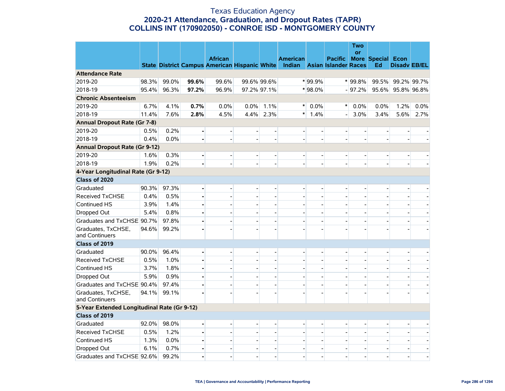#### Texas Education Agency **2020-21 Attendance, Graduation, and Dropout Rates (TAPR) COLLINS INT (170902050) - CONROE ISD - MONTGOMERY COUNTY**

|                                             |       |       |                | <b>African</b>                                                            |                          |             | <b>American</b>          |                          | <b>Pacific</b> | <b>Two</b><br><b>or</b> | <b>More Special Econ</b> |                          |                          |
|---------------------------------------------|-------|-------|----------------|---------------------------------------------------------------------------|--------------------------|-------------|--------------------------|--------------------------|----------------|-------------------------|--------------------------|--------------------------|--------------------------|
|                                             |       |       |                | State District Campus American Hispanic White Indian Asian Islander Races |                          |             |                          |                          |                |                         | Ed                       | <b>Disady EB/EL</b>      |                          |
| <b>Attendance Rate</b>                      |       |       |                |                                                                           |                          |             |                          |                          |                |                         |                          |                          |                          |
| 2019-20                                     | 98.3% | 99.0% | 99.6%          | 99.6%                                                                     | 99.6% 99.6%              |             |                          | $*99.9%$                 |                | $*$ 99.8%               |                          | 99.5% 99.2% 99.7%        |                          |
| 2018-19                                     | 95.4% | 96.3% | 97.2%          | 96.9%                                                                     |                          | 97.2% 97.1% |                          | *98.0%                   |                | $-97.2%$                |                          | 95.6% 95.8% 96.8%        |                          |
| <b>Chronic Absenteeism</b>                  |       |       |                |                                                                           |                          |             |                          |                          |                |                         |                          |                          |                          |
| 2019-20                                     | 6.7%  | 4.1%  | 0.7%           | 0.0%                                                                      | 0.0%                     | 1.1%        | $\ast$                   | 0.0%                     | $\ast$         | 0.0%                    | 0.0%                     | 1.2%                     | 0.0%                     |
| 2018-19                                     | 11.4% | 7.6%  | 2.8%           | 4.5%                                                                      | 4.4%                     | 2.3%        | $\ast$                   | 1.4%                     |                | 3.0%                    | 3.4%                     | 5.6%                     | 2.7%                     |
| <b>Annual Dropout Rate (Gr 7-8)</b>         |       |       |                |                                                                           |                          |             |                          |                          |                |                         |                          |                          |                          |
| 2019-20                                     | 0.5%  | 0.2%  | $\blacksquare$ | -                                                                         | $\overline{\phantom{0}}$ |             | $\overline{a}$           |                          |                |                         | $\overline{a}$           | $\overline{\phantom{a}}$ |                          |
| 2018-19                                     | 0.4%  | 0.0%  |                | -                                                                         | $\overline{\phantom{a}}$ |             |                          | $\overline{\phantom{0}}$ |                |                         | $\overline{\phantom{0}}$ | $\overline{\phantom{a}}$ |                          |
| <b>Annual Dropout Rate (Gr 9-12)</b>        |       |       |                |                                                                           |                          |             |                          |                          |                |                         |                          |                          |                          |
| 2019-20                                     | 1.6%  | 0.3%  |                |                                                                           | $\overline{a}$           |             |                          |                          |                |                         | $\overline{a}$           |                          |                          |
| 2018-19                                     | 1.9%  | 0.2%  |                |                                                                           |                          |             |                          |                          |                |                         |                          |                          |                          |
| 4-Year Longitudinal Rate (Gr 9-12)          |       |       |                |                                                                           |                          |             |                          |                          |                |                         |                          |                          |                          |
| Class of 2020                               |       |       |                |                                                                           |                          |             |                          |                          |                |                         |                          |                          |                          |
| Graduated                                   | 90.3% | 97.3% | ä,             | -                                                                         | $\overline{\phantom{a}}$ |             | $\overline{\phantom{a}}$ | ÷                        |                |                         | $\overline{\phantom{0}}$ | $\overline{\phantom{a}}$ |                          |
| <b>Received TxCHSE</b>                      | 0.4%  | 0.5%  |                |                                                                           |                          |             |                          |                          |                |                         |                          |                          |                          |
| <b>Continued HS</b>                         | 3.9%  | 1.4%  | ä              |                                                                           | $\overline{a}$           |             |                          |                          |                |                         | $\overline{a}$           |                          |                          |
| Dropped Out                                 | 5.4%  | 0.8%  |                |                                                                           | -                        |             |                          |                          |                |                         |                          |                          |                          |
| Graduates and TxCHSE 90.7%                  |       | 97.8% |                |                                                                           | $\overline{a}$           |             |                          |                          |                |                         |                          |                          |                          |
| Graduates, TxCHSE,<br>and Continuers        | 94.6% | 99.2% |                |                                                                           |                          |             |                          |                          |                |                         |                          |                          |                          |
| Class of 2019                               |       |       |                |                                                                           |                          |             |                          |                          |                |                         |                          |                          |                          |
| Graduated                                   | 90.0% | 96.4% | $\blacksquare$ |                                                                           | $\overline{\phantom{a}}$ |             | $\overline{a}$           | $\overline{a}$           |                |                         | $\overline{\phantom{0}}$ | $\overline{\phantom{a}}$ |                          |
| <b>Received TxCHSE</b>                      | 0.5%  | 1.0%  |                |                                                                           | -                        |             |                          |                          |                |                         | $\overline{a}$           |                          |                          |
| Continued HS                                | 3.7%  | 1.8%  | ä,             |                                                                           | $\blacksquare$           |             |                          |                          |                |                         | $\overline{a}$           |                          |                          |
| Dropped Out                                 | 5.9%  | 0.9%  |                |                                                                           | $\overline{a}$           |             |                          |                          |                |                         |                          |                          |                          |
| Graduates and TxCHSE 90.4%                  |       | 97.4% |                |                                                                           | $\overline{a}$           |             |                          |                          |                |                         | $\overline{a}$           |                          |                          |
| Graduates, TxCHSE,<br>and Continuers        | 94.1% | 99.1% |                |                                                                           |                          |             |                          |                          |                |                         |                          |                          |                          |
| 5-Year Extended Longitudinal Rate (Gr 9-12) |       |       |                |                                                                           |                          |             |                          |                          |                |                         |                          |                          |                          |
| Class of 2019                               |       |       |                |                                                                           |                          |             |                          |                          |                |                         |                          |                          |                          |
| Graduated                                   | 92.0% | 98.0% | ÷,             |                                                                           | $\overline{a}$           |             | $\overline{\phantom{a}}$ |                          |                |                         |                          | $\blacksquare$           |                          |
| <b>Received TxCHSE</b>                      | 0.5%  | 1.2%  |                |                                                                           | -                        |             |                          |                          |                |                         |                          |                          |                          |
| Continued HS                                | 1.3%  | 0.0%  | ÷              |                                                                           | $\overline{\phantom{a}}$ |             |                          |                          |                |                         | $\overline{a}$           | $\qquad \qquad -$        |                          |
| Dropped Out                                 | 6.1%  | 0.7%  |                |                                                                           | $\overline{\phantom{a}}$ |             | $\overline{\phantom{0}}$ | $\overline{\phantom{a}}$ |                |                         | $\overline{a}$           |                          | $\blacksquare$           |
| Graduates and TxCHSE 92.6%                  |       | 99.2% |                |                                                                           | $\overline{\phantom{a}}$ |             |                          | $\overline{a}$           |                |                         | $\overline{\phantom{0}}$ |                          | $\overline{\phantom{a}}$ |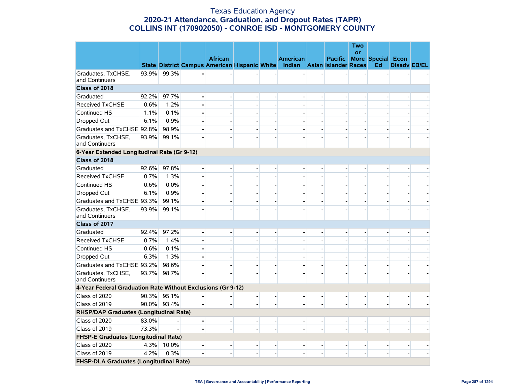#### Texas Education Agency **2020-21 Attendance, Graduation, and Dropout Rates (TAPR) COLLINS INT (170902050) - CONROE ISD - MONTGOMERY COUNTY**

|                                                             |       |             |                                                                           |                          |   |                          |                | <b>Two</b><br><b>or</b> |                          |                          |                          |
|-------------------------------------------------------------|-------|-------------|---------------------------------------------------------------------------|--------------------------|---|--------------------------|----------------|-------------------------|--------------------------|--------------------------|--------------------------|
|                                                             |       |             | <b>African</b>                                                            |                          |   | <b>American</b>          | <b>Pacific</b> |                         | <b>More Special Econ</b> |                          |                          |
|                                                             |       |             | State District Campus American Hispanic White Indian Asian Islander Races |                          |   |                          |                |                         | Ed                       | <b>Disady EB/EL</b>      |                          |
| Graduates, TxCHSE,<br>and Continuers                        | 93.9% | 99.3%       |                                                                           |                          |   |                          |                |                         |                          |                          |                          |
| Class of 2018                                               |       |             |                                                                           |                          |   |                          |                |                         |                          |                          |                          |
| Graduated                                                   | 92.2% | 97.7%       |                                                                           |                          |   |                          |                |                         |                          |                          |                          |
| <b>Received TxCHSE</b>                                      | 0.6%  | 1.2%        |                                                                           |                          |   |                          |                |                         |                          |                          |                          |
| Continued HS                                                | 1.1%  | 0.1%        |                                                                           |                          |   |                          |                |                         |                          |                          |                          |
| Dropped Out                                                 | 6.1%  | 0.9%        |                                                                           | $\overline{\phantom{0}}$ |   |                          |                |                         | $\overline{\phantom{a}}$ |                          |                          |
| Graduates and TxCHSE 92.8%                                  |       | 98.9%       |                                                                           |                          |   |                          |                |                         |                          |                          |                          |
| Graduates, TxCHSE,<br>and Continuers                        | 93.9% | 99.1%       |                                                                           |                          |   |                          |                |                         |                          |                          |                          |
| 6-Year Extended Longitudinal Rate (Gr 9-12)                 |       |             |                                                                           |                          |   |                          |                |                         |                          |                          |                          |
| Class of 2018                                               |       |             |                                                                           |                          |   |                          |                |                         |                          |                          |                          |
| Graduated                                                   | 92.6% | 97.8%       |                                                                           |                          |   |                          |                |                         |                          |                          |                          |
| <b>Received TxCHSE</b>                                      | 0.7%  | 1.3%        |                                                                           |                          |   |                          |                |                         |                          |                          |                          |
| Continued HS                                                | 0.6%  | 0.0%        |                                                                           |                          |   |                          |                |                         |                          |                          |                          |
| Dropped Out                                                 | 6.1%  | 0.9%        |                                                                           |                          |   |                          |                |                         |                          |                          |                          |
| Graduates and TxCHSE 93.3%                                  |       | 99.1%       |                                                                           |                          |   |                          |                |                         |                          |                          |                          |
| Graduates, TxCHSE,<br>and Continuers                        | 93.9% | 99.1%       |                                                                           |                          |   |                          |                |                         |                          |                          |                          |
| Class of 2017                                               |       |             |                                                                           |                          |   |                          |                |                         |                          |                          |                          |
| Graduated                                                   | 92.4% | 97.2%       |                                                                           | $\overline{\phantom{0}}$ |   |                          |                |                         |                          |                          |                          |
| <b>Received TxCHSE</b>                                      | 0.7%  | 1.4%        |                                                                           |                          |   |                          |                |                         |                          |                          |                          |
| Continued HS                                                | 0.6%  | 0.1%        |                                                                           | $\blacksquare$           |   |                          |                |                         | $\overline{\phantom{a}}$ |                          | $\overline{\phantom{a}}$ |
| Dropped Out                                                 | 6.3%  | 1.3%        |                                                                           |                          |   |                          |                |                         |                          |                          |                          |
| Graduates and TxCHSE 93.2%                                  |       | 98.6%       |                                                                           |                          |   |                          |                |                         |                          |                          |                          |
| Graduates, TxCHSE,<br>and Continuers                        | 93.7% | 98.7%       |                                                                           |                          |   |                          |                |                         |                          |                          |                          |
| 4-Year Federal Graduation Rate Without Exclusions (Gr 9-12) |       |             |                                                                           |                          |   |                          |                |                         |                          |                          |                          |
| Class of 2020                                               | 90.3% | 95.1%       |                                                                           |                          |   |                          |                |                         | $\overline{a}$           |                          |                          |
| Class of 2019                                               |       | 90.0% 93.4% |                                                                           |                          |   |                          |                |                         |                          |                          |                          |
| RHSP/DAP Graduates (Longitudinal Rate)                      |       |             |                                                                           |                          |   |                          |                |                         |                          |                          |                          |
| Class of 2020                                               | 83.0% |             |                                                                           | $\overline{\phantom{a}}$ |   | $\overline{\phantom{a}}$ |                |                         | $\overline{\phantom{0}}$ |                          |                          |
| Class of 2019                                               | 73.3% |             |                                                                           | $\blacksquare$           | ۰ | $\overline{a}$           |                | $\overline{a}$          | $\blacksquare$           | $\overline{\phantom{a}}$ |                          |
| <b>FHSP-E Graduates (Longitudinal Rate)</b>                 |       |             |                                                                           |                          |   |                          |                |                         |                          |                          |                          |
| Class of 2020                                               | 4.3%  | 10.0%       |                                                                           | $\overline{\phantom{0}}$ |   |                          |                |                         |                          |                          |                          |
| Class of 2019                                               | 4.2%  | 0.3%        |                                                                           |                          |   |                          |                |                         |                          |                          |                          |
| <b>FHSP-DLA Graduates (Longitudinal Rate)</b>               |       |             |                                                                           |                          |   |                          |                |                         |                          |                          |                          |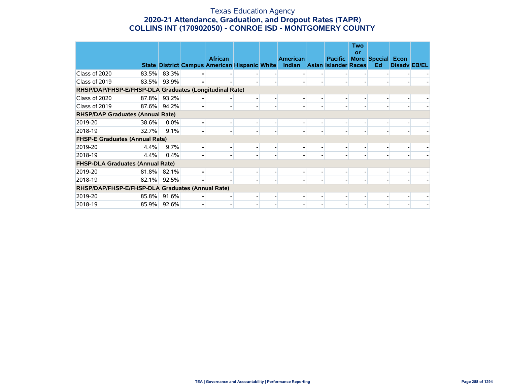#### Texas Education Agency **2020-21 Attendance, Graduation, and Dropout Rates (TAPR) COLLINS INT (170902050) - CONROE ISD - MONTGOMERY COUNTY**

|                                                        |       |             |                                                                        |                          |                           |                                        | <b>Two</b><br>or |                                |                     |  |
|--------------------------------------------------------|-------|-------------|------------------------------------------------------------------------|--------------------------|---------------------------|----------------------------------------|------------------|--------------------------------|---------------------|--|
|                                                        |       |             | <b>African</b><br><b>State District Campus American Hispanic White</b> |                          | <b>American</b><br>Indian | <b>Pacific</b><br>Asian Islander Races |                  | <b>More Special Econ</b><br>Ed | <b>Disady EB/EL</b> |  |
| Class of 2020                                          | 83.5% | 83.3%       |                                                                        |                          |                           |                                        |                  |                                |                     |  |
| Class of 2019                                          | 83.5% | 93.9%       |                                                                        |                          |                           |                                        |                  |                                |                     |  |
| RHSP/DAP/FHSP-E/FHSP-DLA Graduates (Longitudinal Rate) |       |             |                                                                        |                          |                           |                                        |                  |                                |                     |  |
| Class of 2020                                          | 87.8% | 93.2%       |                                                                        |                          |                           |                                        |                  |                                |                     |  |
| Class of 2019                                          | 87.6% | 94.2%       |                                                                        |                          |                           |                                        |                  |                                |                     |  |
| <b>RHSP/DAP Graduates (Annual Rate)</b>                |       |             |                                                                        |                          |                           |                                        |                  |                                |                     |  |
| 2019-20                                                | 38.6% | $0.0\%$     |                                                                        |                          |                           |                                        |                  |                                |                     |  |
| 2018-19                                                | 32.7% | 9.1%        |                                                                        | $\overline{\phantom{a}}$ |                           |                                        |                  |                                |                     |  |
| <b>FHSP-E Graduates (Annual Rate)</b>                  |       |             |                                                                        |                          |                           |                                        |                  |                                |                     |  |
| 2019-20                                                | 4.4%  | 9.7%        |                                                                        |                          |                           |                                        |                  |                                |                     |  |
| 2018-19                                                | 4.4%  | 0.4%        |                                                                        |                          |                           |                                        |                  |                                |                     |  |
| <b>FHSP-DLA Graduates (Annual Rate)</b>                |       |             |                                                                        |                          |                           |                                        |                  |                                |                     |  |
| 2019-20                                                | 81.8% | 82.1%       |                                                                        |                          |                           |                                        |                  |                                |                     |  |
| 2018-19                                                | 82.1% | 92.5%       |                                                                        |                          |                           |                                        |                  |                                |                     |  |
| RHSP/DAP/FHSP-E/FHSP-DLA Graduates (Annual Rate)       |       |             |                                                                        |                          |                           |                                        |                  |                                |                     |  |
| 2019-20                                                | 85.8% | 91.6%       |                                                                        |                          |                           |                                        |                  |                                |                     |  |
| 2018-19                                                |       | 85.9% 92.6% |                                                                        |                          |                           |                                        |                  |                                |                     |  |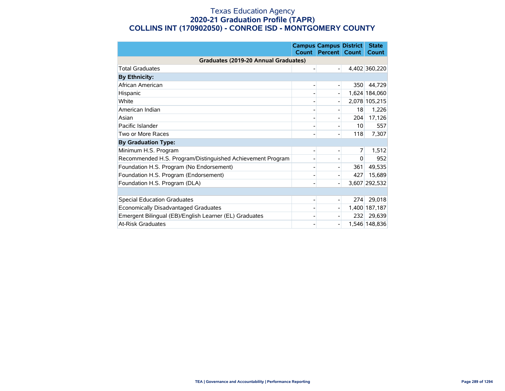#### Texas Education Agency **2020-21 Graduation Profile (TAPR) COLLINS INT (170902050) - CONROE ISD - MONTGOMERY COUNTY**

|                                                            | Count | <b>Campus Campus District</b><br><b>Percent</b> | Count    | <b>State</b><br><b>Count</b> |
|------------------------------------------------------------|-------|-------------------------------------------------|----------|------------------------------|
| Graduates (2019-20 Annual Graduates)                       |       |                                                 |          |                              |
| <b>Total Graduates</b>                                     |       |                                                 |          | 4,402 360,220                |
| <b>By Ethnicity:</b>                                       |       |                                                 |          |                              |
| African American                                           |       |                                                 | 350      | 44,729                       |
| Hispanic                                                   |       |                                                 |          | 1,624 184,060                |
| White                                                      |       |                                                 |          | 2,078 105,215                |
| American Indian                                            |       |                                                 | 18       | 1,226                        |
| Asian                                                      |       |                                                 | 204      | 17,126                       |
| Pacific Islander                                           |       |                                                 | 10       | 557                          |
| Two or More Races                                          |       |                                                 | 118      | 7,307                        |
| <b>By Graduation Type:</b>                                 |       |                                                 |          |                              |
| Minimum H.S. Program                                       |       |                                                 | 7        | 1,512                        |
| Recommended H.S. Program/Distinguished Achievement Program |       |                                                 | $\Omega$ | 952                          |
| Foundation H.S. Program (No Endorsement)                   |       |                                                 | 361      | 49,535                       |
| Foundation H.S. Program (Endorsement)                      |       |                                                 | 427      | 15,689                       |
| Foundation H.S. Program (DLA)                              |       |                                                 |          | 3,607 292,532                |
|                                                            |       |                                                 |          |                              |
| <b>Special Education Graduates</b>                         |       |                                                 | 274      | 29,018                       |
| Economically Disadvantaged Graduates                       |       |                                                 |          | 1,400 187,187                |
| Emergent Bilingual (EB)/English Learner (EL) Graduates     |       |                                                 | 232      | 29,639                       |
| <b>At-Risk Graduates</b>                                   |       |                                                 |          | 1,546 148,836                |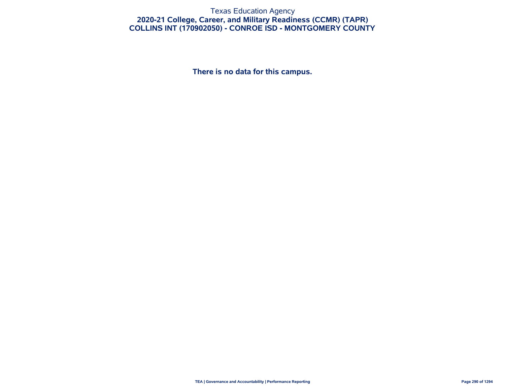#### Texas Education Agency **2020-21 College, Career, and Military Readiness (CCMR) (TAPR) COLLINS INT (170902050) - CONROE ISD - MONTGOMERY COUNTY**

**There is no data for this campus.**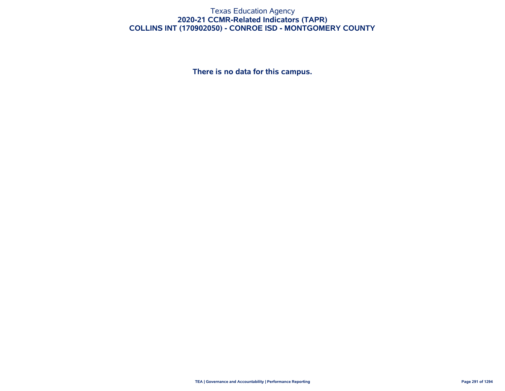#### Texas Education Agency **2020-21 CCMR-Related Indicators (TAPR) COLLINS INT (170902050) - CONROE ISD - MONTGOMERY COUNTY**

**There is no data for this campus.**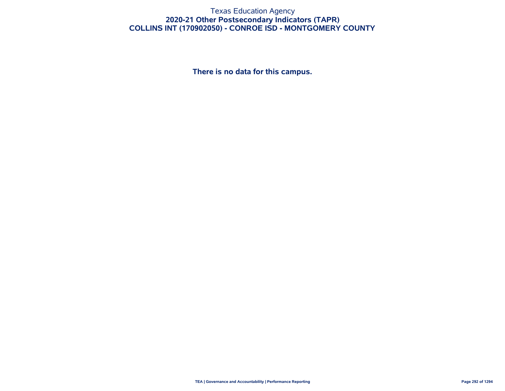#### Texas Education Agency **2020-21 Other Postsecondary Indicators (TAPR) COLLINS INT (170902050) - CONROE ISD - MONTGOMERY COUNTY**

**There is no data for this campus.**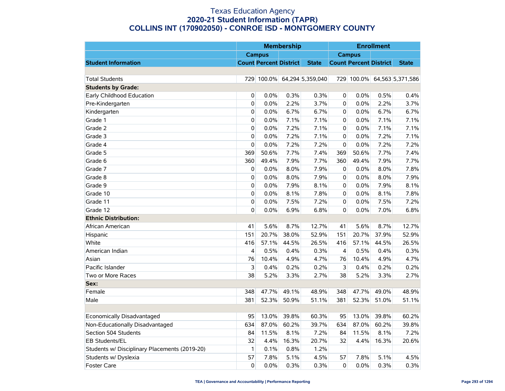#### Texas Education Agency **2020-21 Student Information (TAPR) COLLINS INT (170902050) - CONROE ISD - MONTGOMERY COUNTY**

|                                               |                |                               | <b>Membership</b> |                             |             |                               | <b>Enrollment</b> |                             |
|-----------------------------------------------|----------------|-------------------------------|-------------------|-----------------------------|-------------|-------------------------------|-------------------|-----------------------------|
|                                               |                | <b>Campus</b>                 |                   |                             |             | <b>Campus</b>                 |                   |                             |
| <b>Student Information</b>                    |                | <b>Count Percent District</b> |                   | <b>State</b>                |             | <b>Count Percent District</b> |                   | <b>State</b>                |
|                                               |                |                               |                   |                             |             |                               |                   |                             |
| <b>Total Students</b>                         |                |                               |                   | 729 100.0% 64,294 5,359,040 |             |                               |                   | 729 100.0% 64,563 5,371,586 |
| <b>Students by Grade:</b>                     |                |                               |                   |                             |             |                               |                   |                             |
| Early Childhood Education                     | 0              | 0.0%                          | 0.3%              | 0.3%                        | 0           | 0.0%                          | 0.5%              | 0.4%                        |
| Pre-Kindergarten                              | 0              | 0.0%                          | 2.2%              | 3.7%                        | $\pmb{0}$   | 0.0%                          | 2.2%              | 3.7%                        |
| Kindergarten                                  | 0              | 0.0%                          | 6.7%              | 6.7%                        | 0           | 0.0%                          | 6.7%              | 6.7%                        |
| Grade 1                                       | 0              | 0.0%                          | 7.1%              | 7.1%                        | 0           | 0.0%                          | 7.1%              | 7.1%                        |
| Grade 2                                       | 0              | 0.0%                          | 7.2%              | 7.1%                        | 0           | 0.0%                          | 7.1%              | 7.1%                        |
| Grade 3                                       | $\mathbf{0}$   | 0.0%                          | 7.2%              | 7.1%                        | 0           | 0.0%                          | 7.2%              | 7.1%                        |
| Grade 4                                       | $\mathbf{0}$   | 0.0%                          | 7.2%              | 7.2%                        | 0           | 0.0%                          | 7.2%              | 7.2%                        |
| Grade 5                                       | 369            | 50.6%                         | 7.7%              | 7.4%                        | 369         | 50.6%                         | 7.7%              | 7.4%                        |
| Grade 6                                       | 360            | 49.4%                         | 7.9%              | 7.7%                        | 360         | 49.4%                         | 7.9%              | 7.7%                        |
| Grade 7                                       | 0              | 0.0%                          | 8.0%              | 7.9%                        | 0           | 0.0%                          | 8.0%              | 7.8%                        |
| Grade 8                                       | 0              | 0.0%                          | 8.0%              | 7.9%                        | 0           | 0.0%                          | 8.0%              | 7.9%                        |
| Grade 9                                       | 0              | 0.0%                          | 7.9%              | 8.1%                        | 0           | 0.0%                          | 7.9%              | 8.1%                        |
| Grade 10                                      | 0              | 0.0%                          | 8.1%              | 7.8%                        | 0           | 0.0%                          | 8.1%              | 7.8%                        |
| Grade 11                                      | $\mathbf 0$    | 0.0%                          | 7.5%              | 7.2%                        | 0           | 0.0%                          | 7.5%              | 7.2%                        |
| Grade 12                                      | $\mathbf 0$    | 0.0%                          | 6.9%              | 6.8%                        | $\mathbf 0$ | 0.0%                          | 7.0%              | 6.8%                        |
| <b>Ethnic Distribution:</b>                   |                |                               |                   |                             |             |                               |                   |                             |
| African American                              | 41             | 5.6%                          | 8.7%              | 12.7%                       | 41          | 5.6%                          | 8.7%              | 12.7%                       |
| Hispanic                                      | 151            | 20.7%                         | 38.0%             | 52.9%                       | 151         | 20.7%                         | 37.9%             | 52.9%                       |
| White                                         | 416            | 57.1%                         | 44.5%             | 26.5%                       | 416         | 57.1%                         | 44.5%             | 26.5%                       |
| American Indian                               | $\overline{4}$ | 0.5%                          | 0.4%              | 0.3%                        | 4           | 0.5%                          | 0.4%              | 0.3%                        |
| Asian                                         | 76             | 10.4%                         | 4.9%              | 4.7%                        | 76          | 10.4%                         | 4.9%              | 4.7%                        |
| Pacific Islander                              | 3              | 0.4%                          | 0.2%              | 0.2%                        | 3           | 0.4%                          | 0.2%              | 0.2%                        |
| Two or More Races                             | 38             | 5.2%                          | 3.3%              | 2.7%                        | 38          | 5.2%                          | 3.3%              | 2.7%                        |
| Sex:                                          |                |                               |                   |                             |             |                               |                   |                             |
| Female                                        | 348            | 47.7%                         | 49.1%             | 48.9%                       | 348         | 47.7%                         | 49.0%             | 48.9%                       |
| Male                                          | 381            | 52.3%                         | 50.9%             | 51.1%                       | 381         | 52.3%                         | 51.0%             | 51.1%                       |
|                                               |                |                               |                   |                             |             |                               |                   |                             |
| Economically Disadvantaged                    | 95             | 13.0%                         | 39.8%             | 60.3%                       | 95          | 13.0%                         | 39.8%             | 60.2%                       |
| Non-Educationally Disadvantaged               | 634            | 87.0%                         | 60.2%             | 39.7%                       | 634         | 87.0%                         | 60.2%             | 39.8%                       |
| Section 504 Students                          | 84             | 11.5%                         | 8.1%              | 7.2%                        | 84          | 11.5%                         | 8.1%              | 7.2%                        |
| <b>EB Students/EL</b>                         | 32             | 4.4%                          | 16.3%             | 20.7%                       | 32          | 4.4%                          | 16.3%             | 20.6%                       |
| Students w/ Disciplinary Placements (2019-20) | 1              | 0.1%                          | 0.8%              | 1.2%                        |             |                               |                   |                             |
| Students w/ Dyslexia                          | 57             | 7.8%                          | 5.1%              | 4.5%                        | 57          | 7.8%                          | 5.1%              | 4.5%                        |
| <b>Foster Care</b>                            | $\mathbf 0$    | 0.0%                          | 0.3%              | 0.3%                        | $\mathbf 0$ | 0.0%                          | 0.3%              | 0.3%                        |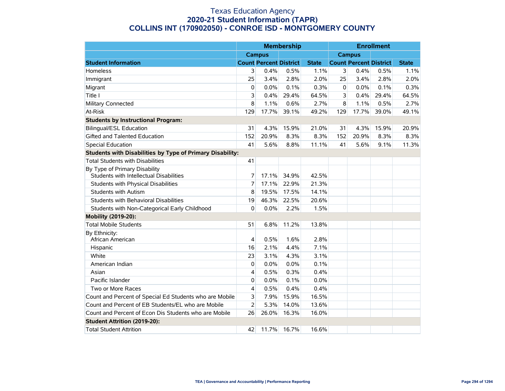#### Texas Education Agency **2020-21 Student Information (TAPR) COLLINS INT (170902050) - CONROE ISD - MONTGOMERY COUNTY**

|                                                                          |                |                               | <b>Membership</b> |              |     |               | <b>Enrollment</b>             |              |
|--------------------------------------------------------------------------|----------------|-------------------------------|-------------------|--------------|-----|---------------|-------------------------------|--------------|
|                                                                          |                | <b>Campus</b>                 |                   |              |     | <b>Campus</b> |                               |              |
| <b>Student Information</b>                                               |                | <b>Count Percent District</b> |                   | <b>State</b> |     |               | <b>Count Percent District</b> | <b>State</b> |
| Homeless                                                                 | 3              | 0.4%                          | 0.5%              | 1.1%         | 3   | 0.4%          | 0.5%                          | 1.1%         |
| Immigrant                                                                | 25             | 3.4%                          | 2.8%              | 2.0%         | 25  | 3.4%          | 2.8%                          | 2.0%         |
| Migrant                                                                  | 0              | 0.0%                          | 0.1%              | 0.3%         | 0   | 0.0%          | 0.1%                          | 0.3%         |
| Title I                                                                  | 3              | 0.4%                          | 29.4%             | 64.5%        | 3   | 0.4%          | 29.4%                         | 64.5%        |
| Military Connected                                                       | 8              | 1.1%                          | 0.6%              | 2.7%         | 8   | 1.1%          | 0.5%                          | 2.7%         |
| At-Risk                                                                  | 129            | 17.7%                         | 39.1%             | 49.2%        | 129 | 17.7%         | 39.0%                         | 49.1%        |
| <b>Students by Instructional Program:</b>                                |                |                               |                   |              |     |               |                               |              |
| <b>Bilingual/ESL Education</b>                                           | 31             | 4.3%                          | 15.9%             | 21.0%        | 31  | 4.3%          | 15.9%                         | 20.9%        |
| Gifted and Talented Education                                            | 152            | 20.9%                         | 8.3%              | 8.3%         | 152 | 20.9%         | 8.3%                          | 8.3%         |
| <b>Special Education</b>                                                 | 41             | 5.6%                          | 8.8%              | 11.1%        | 41  | 5.6%          | 9.1%                          | 11.3%        |
| Students with Disabilities by Type of Primary Disability:                |                |                               |                   |              |     |               |                               |              |
| <b>Total Students with Disabilities</b>                                  | 41             |                               |                   |              |     |               |                               |              |
| By Type of Primary Disability<br>Students with Intellectual Disabilities | 7              | 17.1%                         | 34.9%             | 42.5%        |     |               |                               |              |
| Students with Physical Disabilities                                      | 7              | 17.1%                         | 22.9%             | 21.3%        |     |               |                               |              |
| <b>Students with Autism</b>                                              | 8              | 19.5%                         | 17.5%             | 14.1%        |     |               |                               |              |
| Students with Behavioral Disabilities                                    | 19             | 46.3%                         | 22.5%             | 20.6%        |     |               |                               |              |
| Students with Non-Categorical Early Childhood                            | 0              | 0.0%                          | 2.2%              | 1.5%         |     |               |                               |              |
| Mobility (2019-20):                                                      |                |                               |                   |              |     |               |                               |              |
| <b>Total Mobile Students</b>                                             | 51             | 6.8%                          | 11.2%             | 13.8%        |     |               |                               |              |
| By Ethnicity:<br>African American                                        | 4              | 0.5%                          | 1.6%              | 2.8%         |     |               |                               |              |
| Hispanic                                                                 | 16             | 2.1%                          | 4.4%              | 7.1%         |     |               |                               |              |
| White                                                                    | 23             | 3.1%                          | 4.3%              | 3.1%         |     |               |                               |              |
| American Indian                                                          | 0              | 0.0%                          | 0.0%              | 0.1%         |     |               |                               |              |
| Asian                                                                    | 4              | 0.5%                          | 0.3%              | 0.4%         |     |               |                               |              |
| Pacific Islander                                                         | 0              | 0.0%                          | 0.1%              | 0.0%         |     |               |                               |              |
| Two or More Races                                                        | 4              | 0.5%                          | 0.4%              | 0.4%         |     |               |                               |              |
| Count and Percent of Special Ed Students who are Mobile                  | 3              | 7.9%                          | 15.9%             | 16.5%        |     |               |                               |              |
| Count and Percent of EB Students/EL who are Mobile                       | $\overline{2}$ | 5.3%                          | 14.0%             | 13.6%        |     |               |                               |              |
| Count and Percent of Econ Dis Students who are Mobile                    | 26             | 26.0%                         | 16.3%             | 16.0%        |     |               |                               |              |
| <b>Student Attrition (2019-20):</b>                                      |                |                               |                   |              |     |               |                               |              |
| <b>Total Student Attrition</b>                                           | 42             | 11.7%                         | 16.7%             | 16.6%        |     |               |                               |              |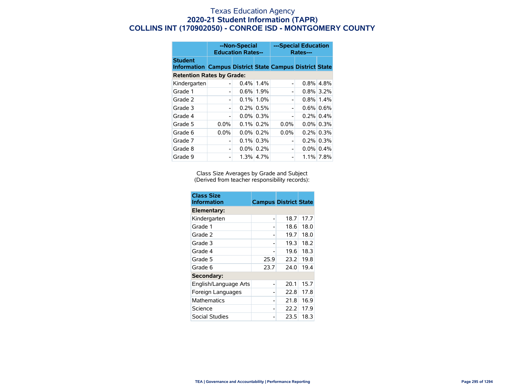#### Texas Education Agency **2020-21 Student Information (TAPR) COLLINS INT (170902050) - CONROE ISD - MONTGOMERY COUNTY**

|                                                                                  | --Non-Special<br><b>Education Rates--</b> |         |              | ---Special Education<br>Rates--- |      |              |  |
|----------------------------------------------------------------------------------|-------------------------------------------|---------|--------------|----------------------------------|------|--------------|--|
| <b>Student</b><br><b>Information Campus District State Campus District State</b> |                                           |         |              |                                  |      |              |  |
|                                                                                  | <b>Retention Rates by Grade:</b>          |         |              |                                  |      |              |  |
| Kindergarten                                                                     |                                           | $0.4\%$ | 1.4%         | -                                | 0.8% | 4.8%         |  |
| Grade 1                                                                          |                                           |         | $0.6\%$ 1.9% | -                                |      | $0.8\%$ 3.2% |  |
| Grade 2                                                                          |                                           |         | $0.1\%$ 1.0% | -                                |      | $0.8\%$ 1.4% |  |
| Grade 3                                                                          |                                           |         | $0.2\%$ 0.5% | $\overline{\phantom{0}}$         |      | $0.6\%$ 0.6% |  |
| Grade 4                                                                          |                                           |         | $0.0\%$ 0.3% | -                                |      | $0.2\%$ 0.4% |  |
| Grade 5                                                                          | $0.0\%$                                   |         | $0.1\%$ 0.2% | 0.0%                             |      | $0.0\%$ 0.3% |  |
| Grade 6                                                                          | $0.0\%$                                   |         | $0.0\%$ 0.2% | 0.0%                             |      | $0.2\%$ 0.3% |  |
| Grade 7                                                                          |                                           |         | $0.1\%$ 0.3% | -                                |      | $0.2\%$ 0.3% |  |
| Grade 8                                                                          |                                           |         | $0.0\%$ 0.2% | $\overline{a}$                   |      | $0.0\%$ 0.4% |  |
| Grade 9                                                                          |                                           |         | 1.3% 4.7%    |                                  |      | 1.1% 7.8%    |  |

Class Size Averages by Grade and Subject (Derived from teacher responsibility records):

| <b>Class Size</b><br><b>Information</b> | <b>Campus District State</b> |      |      |  |  |
|-----------------------------------------|------------------------------|------|------|--|--|
| Elementary:                             |                              |      |      |  |  |
| Kindergarten                            |                              | 18.7 | 17.7 |  |  |
| Grade 1                                 |                              | 18.6 | 18.0 |  |  |
| Grade 2                                 |                              | 19.7 | 18.0 |  |  |
| Grade 3                                 |                              | 19.3 | 18.2 |  |  |
| Grade 4                                 |                              | 19.6 | 18.3 |  |  |
| Grade 5                                 | 25.9                         | 23.2 | 19.8 |  |  |
| Grade 6                                 | 23.7                         | 24.0 | 19.4 |  |  |
| Secondary:                              |                              |      |      |  |  |
| English/Language Arts                   |                              | 20.1 | 15.7 |  |  |
| Foreign Languages                       |                              | 22.8 | 17.8 |  |  |
| <b>Mathematics</b>                      |                              | 21.8 | 16.9 |  |  |
| Science                                 |                              | 22.2 | 17.9 |  |  |
| Social Studies                          |                              | 23.5 | 18.3 |  |  |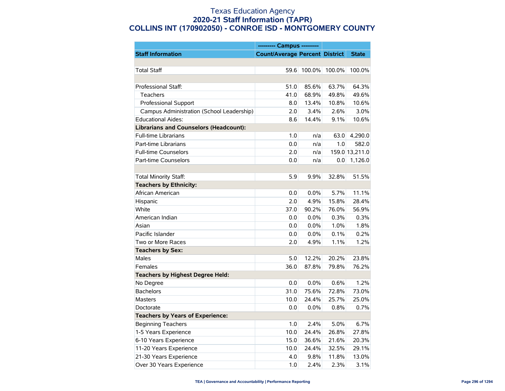#### Texas Education Agency **2020-21 Staff Information (TAPR) COLLINS INT (170902050) - CONROE ISD - MONTGOMERY COUNTY**

|                                               | --------- Campus ---------            |        |        |                |  |  |
|-----------------------------------------------|---------------------------------------|--------|--------|----------------|--|--|
| <b>Staff Information</b>                      | <b>Count/Average Percent District</b> |        |        | <b>State</b>   |  |  |
|                                               |                                       |        |        |                |  |  |
| <b>Total Staff</b>                            | 59.6                                  | 100.0% | 100.0% | 100.0%         |  |  |
|                                               |                                       |        |        |                |  |  |
| Professional Staff:                           | 51.0                                  | 85.6%  | 63.7%  | 64.3%          |  |  |
| <b>Teachers</b>                               | 41.0                                  | 68.9%  | 49.8%  | 49.6%          |  |  |
| Professional Support                          | 8.0                                   | 13.4%  | 10.8%  | 10.6%          |  |  |
| Campus Administration (School Leadership)     | 2.0                                   | 3.4%   | 2.6%   | 3.0%           |  |  |
| <b>Educational Aides:</b>                     | 8.6                                   | 14.4%  | 9.1%   | 10.6%          |  |  |
| <b>Librarians and Counselors (Headcount):</b> |                                       |        |        |                |  |  |
| <b>Full-time Librarians</b>                   | 1.0                                   | n/a    | 63.0   | 4,290.0        |  |  |
| Part-time Librarians                          | 0.0                                   | n/a    | 1.0    | 582.0          |  |  |
| <b>Full-time Counselors</b>                   | 2.0                                   | n/a    |        | 159.0 13,211.0 |  |  |
| Part-time Counselors                          | 0.0                                   | n/a    | 0.0    | 1,126.0        |  |  |
|                                               |                                       |        |        |                |  |  |
| <b>Total Minority Staff:</b>                  | 5.9                                   | 9.9%   | 32.8%  | 51.5%          |  |  |
| <b>Teachers by Ethnicity:</b>                 |                                       |        |        |                |  |  |
| African American                              | 0.0                                   | 0.0%   | 5.7%   | 11.1%          |  |  |
| Hispanic                                      | 2.0                                   | 4.9%   | 15.8%  | 28.4%          |  |  |
| White                                         | 37.0                                  | 90.2%  | 76.0%  | 56.9%          |  |  |
| American Indian                               | 0.0                                   | 0.0%   | 0.3%   | 0.3%           |  |  |
| Asian                                         | 0.0                                   | 0.0%   | 1.0%   | 1.8%           |  |  |
| Pacific Islander                              | 0.0                                   | 0.0%   | 0.1%   | 0.2%           |  |  |
| Two or More Races                             | 2.0                                   | 4.9%   | 1.1%   | 1.2%           |  |  |
| <b>Teachers by Sex:</b>                       |                                       |        |        |                |  |  |
| Males                                         | 5.0                                   | 12.2%  | 20.2%  | 23.8%          |  |  |
| Females                                       | 36.0                                  | 87.8%  | 79.8%  | 76.2%          |  |  |
| <b>Teachers by Highest Degree Held:</b>       |                                       |        |        |                |  |  |
| No Degree                                     | 0.0                                   | 0.0%   | 0.6%   | 1.2%           |  |  |
| <b>Bachelors</b>                              | 31.0                                  | 75.6%  | 72.8%  | 73.0%          |  |  |
| <b>Masters</b>                                | 10.0                                  | 24.4%  | 25.7%  | 25.0%          |  |  |
| Doctorate                                     | 0.0                                   | 0.0%   | 0.8%   | 0.7%           |  |  |
| <b>Teachers by Years of Experience:</b>       |                                       |        |        |                |  |  |
| <b>Beginning Teachers</b>                     | 1.0                                   | 2.4%   | 5.0%   | 6.7%           |  |  |
| 1-5 Years Experience                          | 10.0                                  | 24.4%  | 26.8%  | 27.8%          |  |  |
| 6-10 Years Experience                         | 15.0                                  | 36.6%  | 21.6%  | 20.3%          |  |  |
| 11-20 Years Experience                        | 10.0                                  | 24.4%  | 32.5%  | 29.1%          |  |  |
| 21-30 Years Experience                        | 4.0                                   | 9.8%   | 11.8%  | 13.0%          |  |  |
| Over 30 Years Experience                      | 1.0                                   | 2.4%   | 2.3%   | 3.1%           |  |  |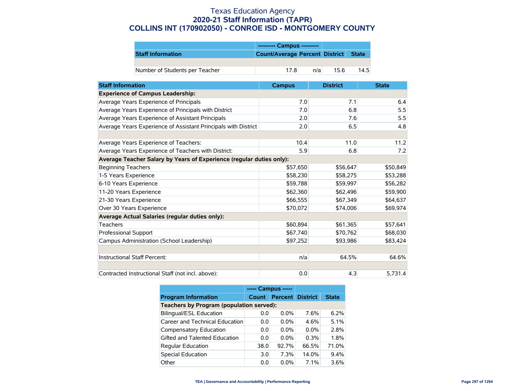#### Texas Education Agency **2020-21 Staff Information (TAPR) COLLINS INT (170902050) - CONROE ISD - MONTGOMERY COUNTY**

|                                | --------- Campus ---------             |              |  |  |
|--------------------------------|----------------------------------------|--------------|--|--|
| <b>Staff Information</b>       | Count/Average Percent District   State |              |  |  |
|                                |                                        |              |  |  |
| Number of Students per Teacher | 17.8<br>n/a                            | 14.5<br>15.6 |  |  |

| <b>Staff Information</b>                                             | <b>Campus</b> | <b>District</b> | <b>State</b> |  |  |  |
|----------------------------------------------------------------------|---------------|-----------------|--------------|--|--|--|
| <b>Experience of Campus Leadership:</b>                              |               |                 |              |  |  |  |
| Average Years Experience of Principals                               | 7.0           | 7.1             | 6.4          |  |  |  |
| Average Years Experience of Principals with District                 | 7.0           | 6.8             | 5.5          |  |  |  |
| Average Years Experience of Assistant Principals                     | 2.0           | 7.6             | 5.5          |  |  |  |
| Average Years Experience of Assistant Principals with District       | 2.0           | 6.5             | 4.8          |  |  |  |
|                                                                      |               |                 |              |  |  |  |
| Average Years Experience of Teachers:                                | 10.4          | 11.0            | 11.2         |  |  |  |
| Average Years Experience of Teachers with District:                  | 5.9           | 6.8             | 7.2          |  |  |  |
| Average Teacher Salary by Years of Experience (regular duties only): |               |                 |              |  |  |  |
| <b>Beginning Teachers</b>                                            | \$57,650      | \$56,647        | \$50,849     |  |  |  |
| 1-5 Years Experience                                                 | \$58,230      | \$58,275        | \$53,288     |  |  |  |
| 6-10 Years Experience                                                | \$59,788      | \$59,997        | \$56,282     |  |  |  |
| 11-20 Years Experience                                               | \$62,360      | \$62,496        | \$59,900     |  |  |  |
| 21-30 Years Experience                                               | \$66,555      | \$67,349        | \$64,637     |  |  |  |
| Over 30 Years Experience                                             | \$70,072      | \$74,006        | \$69,974     |  |  |  |
| Average Actual Salaries (regular duties only):                       |               |                 |              |  |  |  |
| <b>Teachers</b>                                                      | \$60,894      | \$61,365        | \$57,641     |  |  |  |
| Professional Support                                                 | \$67,740      | \$70,762        | \$68,030     |  |  |  |
| Campus Administration (School Leadership)                            | \$97,252      | \$93,986        | \$83,424     |  |  |  |
|                                                                      |               |                 |              |  |  |  |
| Instructional Staff Percent:                                         | n/a           | 64.5%           | 64.6%        |  |  |  |
|                                                                      |               |                 |              |  |  |  |
| Contracted Instructional Staff (not incl. above):                    | 0.0           | 4.3             | 5,731.4      |  |  |  |

|                                          | ----- Campus ----- |                         |         |              |
|------------------------------------------|--------------------|-------------------------|---------|--------------|
| <b>Program Information</b>               | Count              | <b>Percent District</b> |         | <b>State</b> |
| Teachers by Program (population served): |                    |                         |         |              |
| <b>Bilingual/ESL Education</b>           | 0.0                | $0.0\%$                 | 7.6%    | 6.2%         |
| Career and Technical Education           | 0.0                | $0.0\%$                 | 4.6%    | 5.1%         |
| Compensatory Education                   | 0.0                | $0.0\%$                 | $0.0\%$ | 2.8%         |
| Gifted and Talented Education            | 0.0                | $0.0\%$                 | 0.3%    | 1.8%         |
| <b>Regular Education</b>                 | 38.0               | 92.7%                   | 66.5%   | 71.0%        |
| <b>Special Education</b>                 | 3.0                | 7.3%                    | 14.0%   | 9.4%         |
| Other                                    | 0.0                | $0.0\%$                 | 7.1%    | 3.6%         |